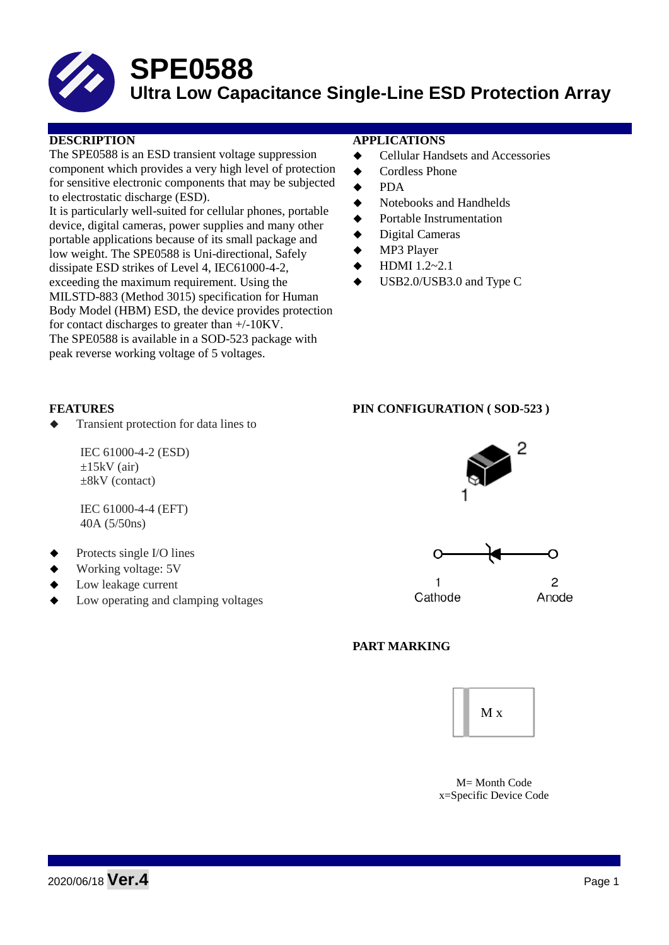

# **SPE0588**

## **Ultra Low Capacitance Single-Line ESD Protection Array**

The SPE0588 is an ESD transient voltage suppression component which provides a very high level of protection for sensitive electronic components that may be subjected to electrostatic discharge (ESD).

It is particularly well-suited for cellular phones, portable device, digital cameras, power supplies and many other portable applications because of its small package and low weight. The SPE0588 is Uni-directional, Safely dissipate ESD strikes of Level 4, IEC61000-4-2, exceeding the maximum requirement. Using the MILSTD-883 (Method 3015) specification for Human Body Model (HBM) ESD, the device provides protection for contact discharges to greater than +/-10KV. The SPE0588 is available in a SOD-523 package with peak reverse working voltage of 5 voltages.

#### **DESCRIPTION APPLICATIONS**

- Cellular Handsets and Accessories
- ◆ Cordless Phone
- PDA
- Notebooks and Handhelds
- Portable Instrumentation
- Digital Cameras
- MP3 Player
- HDMI 1.2~2.1
- USB2.0/USB3.0 and Type C

Transient protection for data lines to

IEC 61000-4-2 (ESD)  $\pm 15$ kV (air) ±8kV (contact)

IEC 61000-4-4 (EFT) 40A (5/50ns)

- Protects single I/O lines
- Working voltage: 5V
- Low leakage current
- Low operating and clamping voltages

#### **FEATURES PIN CONFIGURATION ( SOD-523 )**



1 Cathode



### **PART MARKING**



M= Month Code x=Specific Device Code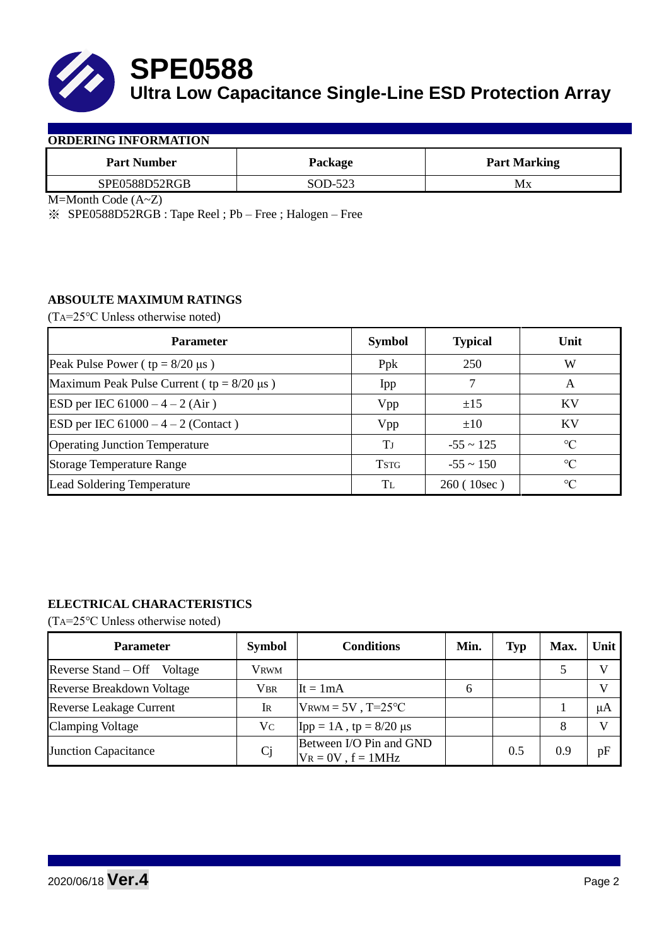

**SPE0588 Ultra Low Capacitance Single-Line ESD Protection Array**

#### **ORDERING INFORMATION**

| <b>Part Number</b> | Package | <b>Part Marking</b> |
|--------------------|---------|---------------------|
| SPE0588D52RGB      | SOD-523 | Мx                  |

M=Month Code (A~Z)

※ SPE0588D52RGB : Tape Reel ; Pb – Free ; Halogen – Free

#### **ABSOULTE MAXIMUM RATINGS**

(TA=25℃ Unless otherwise noted)

| <b>Parameter</b>                                 | <b>Symbol</b> | <b>Typical</b> | Unit            |
|--------------------------------------------------|---------------|----------------|-----------------|
| Peak Pulse Power ( $tp = 8/20 \mu s$ )           | Ppk           | 250            | W               |
| Maximum Peak Pulse Current ( $tp = 8/20 \mu s$ ) | Ipp           |                | A               |
| ESD per IEC $61000 - 4 - 2$ (Air)                | Vpp           | ±15            | KV              |
| ESD per IEC $61000 - 4 - 2$ (Contact)            | Vpp           | $\pm 10$       | KV              |
| <b>Operating Junction Temperature</b>            | Tj            | $-55 \sim 125$ | $\rm ^{\circ}C$ |
| <b>Storage Temperature Range</b>                 | <b>TSTG</b>   | $-55 \sim 150$ | $\rm ^{\circ}C$ |
| <b>Lead Soldering Temperature</b>                | Tl            | 260(10sec)     | $\rm ^{\circ}C$ |

### **ELECTRICAL CHARACTERISTICS**

(TA=25℃ Unless otherwise noted)

| <b>Parameter</b>               | <b>Symbol</b> | <b>Conditions</b>                                  | Min. | <b>Typ</b> | Max. | Unit |
|--------------------------------|---------------|----------------------------------------------------|------|------------|------|------|
| Reverse Stand – Off<br>Voltage | Vrwm          |                                                    |      |            |      |      |
| Reverse Breakdown Voltage      | Vbr           | $It = 1mA$                                         | h    |            |      |      |
| <b>Reverse Leakage Current</b> | Ir            | $V$ RWM = 5V, T=25°C                               |      |            |      | μA   |
| <b>Clamping Voltage</b>        | Vc            | Ipp = 1A, tp = $8/20 \mu s$                        |      |            | 8    |      |
| <b>Junction Capacitance</b>    | $C_{j}$       | Between I/O Pin and GND<br>$V_R = 0V$ , $f = 1MHz$ |      | 0.5        | 0.9  | pF   |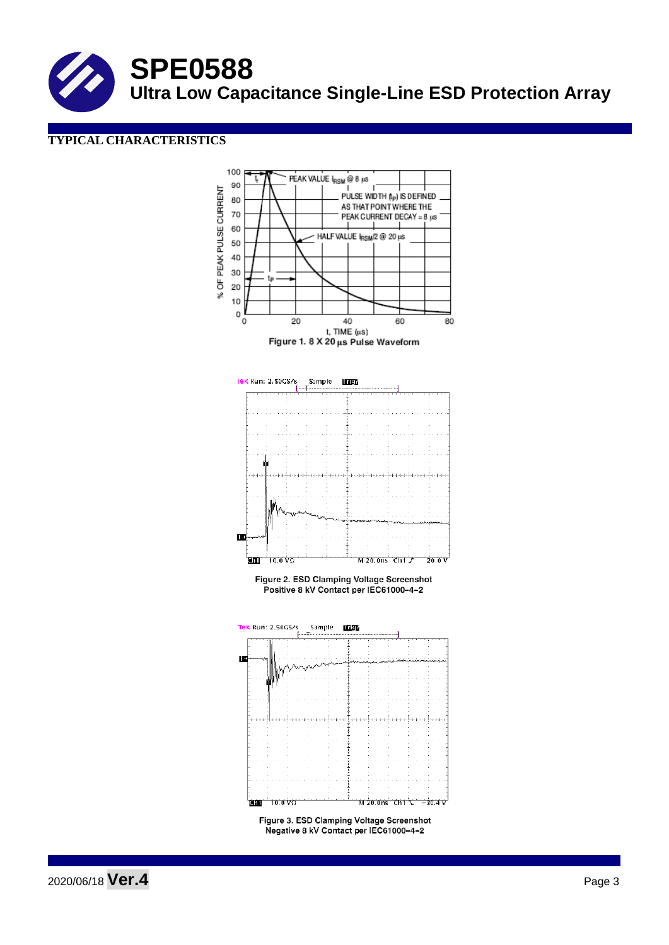**SPE0588 Ultra Low Capacitance Single-Line ESD Protection Array**

### **TYPICAL CHARACTERISTICS**



2020/06/18 **Ver.4** Page 3